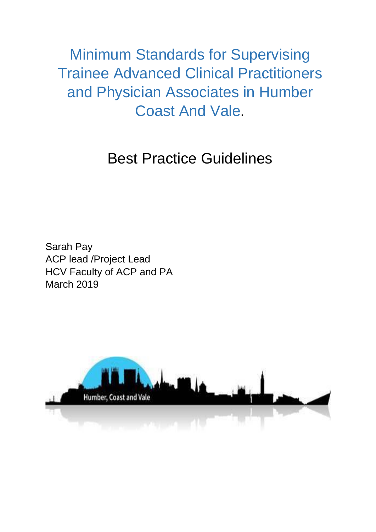Minimum Standards for Supervising Trainee Advanced Clinical Practitioners and Physician Associates in Humber Coast And Vale.

# Best Practice Guidelines

Sarah Pay ACP lead /Project Lead HCV Faculty of ACP and PA March 2019

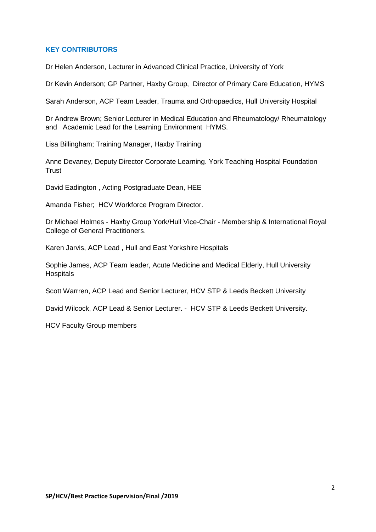## **KEY CONTRIBUTORS**

Dr Helen Anderson, Lecturer in Advanced Clinical Practice, University of York

Dr Kevin Anderson; GP Partner, Haxby Group, Director of Primary Care Education, HYMS

Sarah Anderson, ACP Team Leader, Trauma and Orthopaedics, Hull University Hospital

Dr Andrew Brown; Senior Lecturer in Medical Education and Rheumatology/ Rheumatology and Academic Lead for the Learning Environment HYMS.

Lisa Billingham; Training Manager, Haxby Training

Anne Devaney, Deputy Director Corporate Learning. York Teaching Hospital Foundation **Trust** 

David Eadington , Acting Postgraduate Dean, HEE

Amanda Fisher; HCV Workforce Program Director.

Dr Michael Holmes - Haxby Group York/Hull Vice-Chair - Membership & International Royal College of General Practitioners.

Karen Jarvis, ACP Lead , Hull and East Yorkshire Hospitals

Sophie James, ACP Team leader, Acute Medicine and Medical Elderly, Hull University **Hospitals** 

Scott Warrren, ACP Lead and Senior Lecturer, HCV STP & Leeds Beckett University

David Wilcock, ACP Lead & Senior Lecturer. - HCV STP & Leeds Beckett University.

HCV Faculty Group members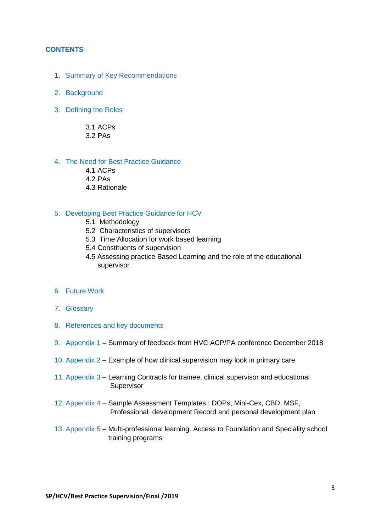#### **CONTENTS**

- 1. Summary of Key Recommendations
- 2. Background
- 3. Defining the Roles

3.1 ACPs 3.2 PAs

#### 4. The Need for Best Practice Guidance

- 4.1 ACPs
- 4.2 PAs
- 4.3 Rationale

#### 5. Developing Best Practice Guidance for HCV

- 5.1 Methodology
- 5.2 Characteristics of supervisors
- 5.3 Time Allocation for work based learning
- 5.4 Constituents of supervision
- 4.5 Assessing practice Based Learning and the role of the educational supervisor
- 6. Future Work
- 7. Glossary
- 8. References and key documents
- 9. Appendix 1 Summary of feedback from HVC ACP/PA conference December 2018
- 10. Appendix 2 Example of how clinical supervision may look in primary care
- 11. Appendix 3 Learning Contracts for trainee, clinical supervisor and educational **Supervisor**
- 12. Appendix 4 Sample Assessment Templates ; DOPs, Mini-Cex, CBD, MSF, Professional development Record and personal development plan
- 13. Appendix 5 Multi-professional learning. Access to Foundation and Speciality school training programs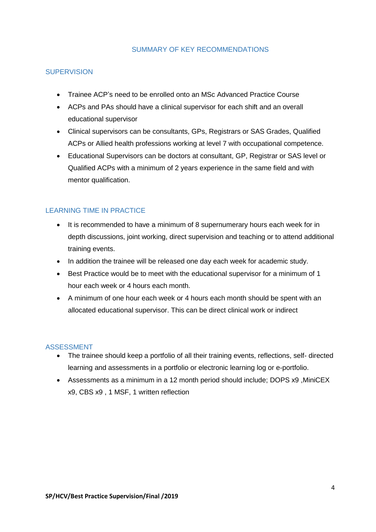#### SUMMARY OF KEY RECOMMENDATIONS

#### **SUPERVISION**

- Trainee ACP's need to be enrolled onto an MSc Advanced Practice Course
- ACPs and PAs should have a clinical supervisor for each shift and an overall educational supervisor
- Clinical supervisors can be consultants, GPs, Registrars or SAS Grades, Qualified ACPs or Allied health professions working at level 7 with occupational competence.
- Educational Supervisors can be doctors at consultant, GP, Registrar or SAS level or Qualified ACPs with a minimum of 2 years experience in the same field and with mentor qualification.

# LEARNING TIME IN PRACTICE

- It is recommended to have a minimum of 8 supernumerary hours each week for in depth discussions, joint working, direct supervision and teaching or to attend additional training events.
- In addition the trainee will be released one day each week for academic study.
- Best Practice would be to meet with the educational supervisor for a minimum of 1 hour each week or 4 hours each month.
- A minimum of one hour each week or 4 hours each month should be spent with an allocated educational supervisor. This can be direct clinical work or indirect

# ASSESSMENT

- The trainee should keep a portfolio of all their training events, reflections, self- directed learning and assessments in a portfolio or electronic learning log or e-portfolio.
- Assessments as a minimum in a 12 month period should include; DOPS x9 ,MiniCEX x9, CBS x9 , 1 MSF, 1 written reflection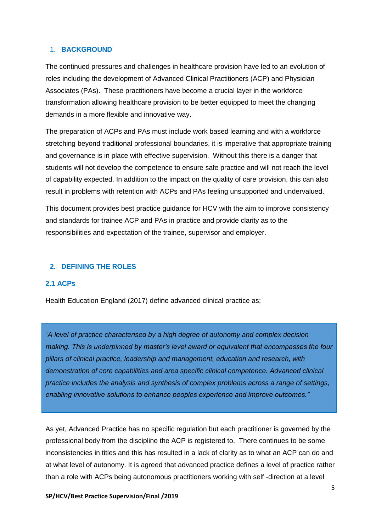#### 1. **BACKGROUND**

The continued pressures and challenges in healthcare provision have led to an evolution of roles including the development of Advanced Clinical Practitioners (ACP) and Physician Associates (PAs). These practitioners have become a crucial layer in the workforce transformation allowing healthcare provision to be better equipped to meet the changing demands in a more flexible and innovative way.

The preparation of ACPs and PAs must include work based learning and with a workforce stretching beyond traditional professional boundaries, it is imperative that appropriate training and governance is in place with effective supervision. Without this there is a danger that students will not develop the competence to ensure safe practice and will not reach the level of capability expected. In addition to the impact on the quality of care provision, this can also result in problems with retention with ACPs and PAs feeling unsupported and undervalued.

This document provides best practice guidance for HCV with the aim to improve consistency and standards for trainee ACP and PAs in practice and provide clarity as to the responsibilities and expectation of the trainee, supervisor and employer.

### **2. DEFINING THE ROLES**

#### **2.1 ACPs**

Health Education England (2017) define advanced clinical practice as;

"*A level of practice characterised by a high degree of autonomy and complex decision making. This is underpinned by master's level award or equivalent that encompasses the four pillars of clinical practice, leadership and management, education and research, with demonstration of core capabilities and area specific clinical competence. Advanced clinical practice includes the analysis and synthesis of complex problems across a range of settings, enabling innovative solutions to enhance peoples experience and improve outcomes."*

As yet, Advanced Practice has no specific regulation but each practitioner is governed by the professional body from the discipline the ACP is registered to. There continues to be some inconsistencies in titles and this has resulted in a lack of clarity as to what an ACP can do and at what level of autonomy. It is agreed that advanced practice defines a level of practice rather than a role with ACPs being autonomous practitioners working with self -direction at a level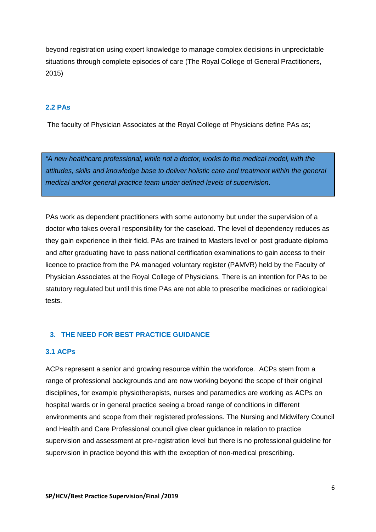beyond registration using expert knowledge to manage complex decisions in unpredictable situations through complete episodes of care (The Royal College of General Practitioners, 2015)

# **2.2 PAs**

The faculty of Physician Associates at the Royal College of Physicians define PAs as;

*"A new healthcare professional, while not a doctor, works to the medical model, with the attitudes, skills and knowledge base to deliver holistic care and treatment within the general medical and/or general practice team under defined levels of supervision*.

PAs work as dependent practitioners with some autonomy but under the supervision of a doctor who takes overall responsibility for the caseload. The level of dependency reduces as they gain experience in their field. PAs are trained to Masters level or post graduate diploma and after graduating have to pass national certification examinations to gain access to their licence to practice from the PA managed voluntary register (PAMVR) held by the Faculty of Physician Associates at the Royal College of Physicians. There is an intention for PAs to be statutory regulated but until this time PAs are not able to prescribe medicines or radiological tests.

#### **3. THE NEED FOR BEST PRACTICE GUIDANCE**

#### **3.1 ACPs**

ACPs represent a senior and growing resource within the workforce. ACPs stem from a range of professional backgrounds and are now working beyond the scope of their original disciplines, for example physiotherapists, nurses and paramedics are working as ACPs on hospital wards or in general practice seeing a broad range of conditions in different environments and scope from their registered professions. The Nursing and Midwifery Council and Health and Care Professional council give clear guidance in relation to practice supervision and assessment at pre-registration level but there is no professional guideline for supervision in practice beyond this with the exception of non-medical prescribing.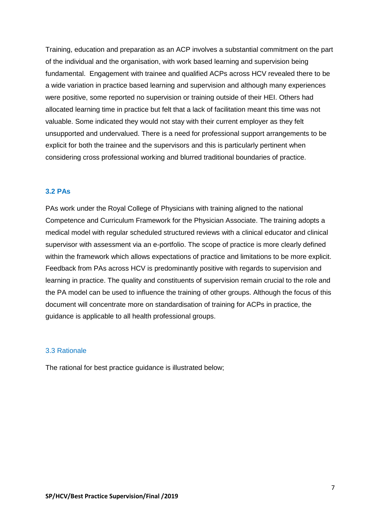Training, education and preparation as an ACP involves a substantial commitment on the part of the individual and the organisation, with work based learning and supervision being fundamental. Engagement with trainee and qualified ACPs across HCV revealed there to be a wide variation in practice based learning and supervision and although many experiences were positive, some reported no supervision or training outside of their HEI. Others had allocated learning time in practice but felt that a lack of facilitation meant this time was not valuable. Some indicated they would not stay with their current employer as they felt unsupported and undervalued. There is a need for professional support arrangements to be explicit for both the trainee and the supervisors and this is particularly pertinent when considering cross professional working and blurred traditional boundaries of practice.

## **3.2 PAs**

PAs work under the Royal College of Physicians with training aligned to the national Competence and Curriculum Framework for the Physician Associate. The training adopts a medical model with regular scheduled structured reviews with a clinical educator and clinical supervisor with assessment via an e-portfolio. The scope of practice is more clearly defined within the framework which allows expectations of practice and limitations to be more explicit. Feedback from PAs across HCV is predominantly positive with regards to supervision and learning in practice. The quality and constituents of supervision remain crucial to the role and the PA model can be used to influence the training of other groups. Although the focus of this document will concentrate more on standardisation of training for ACPs in practice, the guidance is applicable to all health professional groups.

#### 3.3 Rationale

The rational for best practice guidance is illustrated below;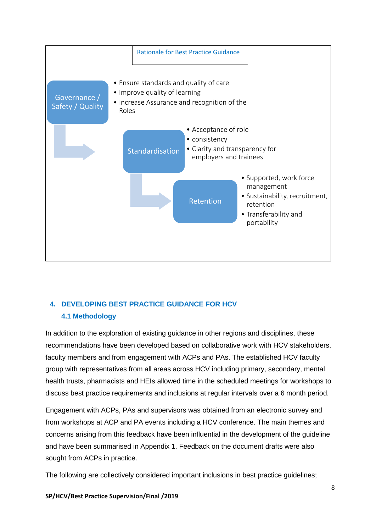

# **4. DEVELOPING BEST PRACTICE GUIDANCE FOR HCV 4.1 Methodology**

In addition to the exploration of existing guidance in other regions and disciplines, these recommendations have been developed based on collaborative work with HCV stakeholders, faculty members and from engagement with ACPs and PAs. The established HCV faculty group with representatives from all areas across HCV including primary, secondary, mental health trusts, pharmacists and HEIs allowed time in the scheduled meetings for workshops to discuss best practice requirements and inclusions at regular intervals over a 6 month period.

Engagement with ACPs, PAs and supervisors was obtained from an electronic survey and from workshops at ACP and PA events including a HCV conference. The main themes and concerns arising from this feedback have been influential in the development of the guideline and have been summarised in Appendix 1. Feedback on the document drafts were also sought from ACPs in practice.

The following are collectively considered important inclusions in best practice guidelines;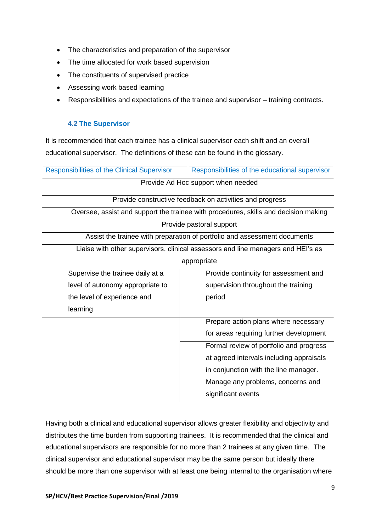- The characteristics and preparation of the supervisor
- The time allocated for work based supervision
- The constituents of supervised practice
- Assessing work based learning
- Responsibilities and expectations of the trainee and supervisor training contracts.

# **4.2 The Supervisor**

It is recommended that each trainee has a clinical supervisor each shift and an overall educational supervisor. The definitions of these can be found in the glossary.

| <b>Responsibilities of the Clinical Supervisor</b> | Responsibilities of the educational supervisor                                      |  |
|----------------------------------------------------|-------------------------------------------------------------------------------------|--|
| Provide Ad Hoc support when needed                 |                                                                                     |  |
|                                                    | Provide constructive feedback on activities and progress                            |  |
|                                                    | Oversee, assist and support the trainee with procedures, skills and decision making |  |
|                                                    | Provide pastoral support                                                            |  |
|                                                    | Assist the trainee with preparation of portfolio and assessment documents           |  |
|                                                    | Liaise with other supervisors, clinical assessors and line managers and HEI's as    |  |
|                                                    | appropriate                                                                         |  |
| Supervise the trainee daily at a                   | Provide continuity for assessment and                                               |  |
| level of autonomy appropriate to                   | supervision throughout the training                                                 |  |
| the level of experience and                        | period                                                                              |  |
| learning                                           |                                                                                     |  |
|                                                    | Prepare action plans where necessary                                                |  |
|                                                    | for areas requiring further development                                             |  |
|                                                    | Formal review of portfolio and progress                                             |  |
|                                                    | at agreed intervals including appraisals                                            |  |
|                                                    | in conjunction with the line manager.                                               |  |
|                                                    | Manage any problems, concerns and                                                   |  |
|                                                    | significant events                                                                  |  |

Having both a clinical and educational supervisor allows greater flexibility and objectivity and distributes the time burden from supporting trainees. It is recommended that the clinical and educational supervisors are responsible for no more than 2 trainees at any given time. The clinical supervisor and educational supervisor may be the same person but ideally there should be more than one supervisor with at least one being internal to the organisation where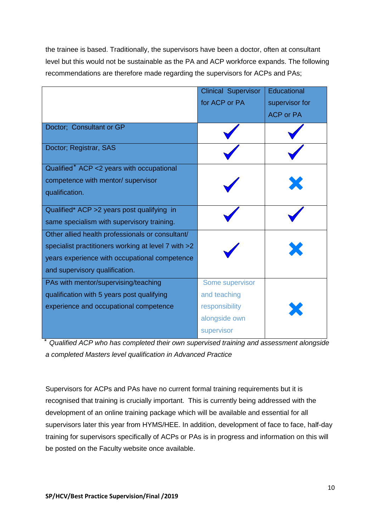the trainee is based. Traditionally, the supervisors have been a doctor, often at consultant level but this would not be sustainable as the PA and ACP workforce expands. The following recommendations are therefore made regarding the supervisors for ACPs and PAs;

|                                                     | <b>Clinical Supervisor</b> | Educational      |
|-----------------------------------------------------|----------------------------|------------------|
|                                                     | for ACP or PA              | supervisor for   |
|                                                     |                            | <b>ACP or PA</b> |
| Doctor; Consultant or GP                            |                            |                  |
| Doctor; Registrar, SAS                              |                            |                  |
| Qualified* ACP <2 years with occupational           |                            |                  |
| competence with mentor/ supervisor                  |                            |                  |
| qualification.                                      |                            |                  |
| Qualified* ACP > 2 years post qualifying in         |                            |                  |
| same specialism with supervisory training.          |                            |                  |
| Other allied health professionals or consultant/    |                            |                  |
| specialist practitioners working at level 7 with >2 |                            |                  |
| years experience with occupational competence       |                            |                  |
| and supervisory qualification.                      |                            |                  |
| PAs with mentor/supervising/teaching                | Some supervisor            |                  |
| qualification with 5 years post qualifying          | and teaching               |                  |
| experience and occupational competence              | responsibility             |                  |
|                                                     | alongside own              |                  |
|                                                     | supervisor                 |                  |

⃰ *Qualified ACP who has completed their own supervised training and assessment alongside a completed Masters level qualification in Advanced Practice*

Supervisors for ACPs and PAs have no current formal training requirements but it is recognised that training is crucially important. This is currently being addressed with the development of an online training package which will be available and essential for all supervisors later this year from HYMS/HEE. In addition, development of face to face, half-day training for supervisors specifically of ACPs or PAs is in progress and information on this will be posted on the Faculty website once available.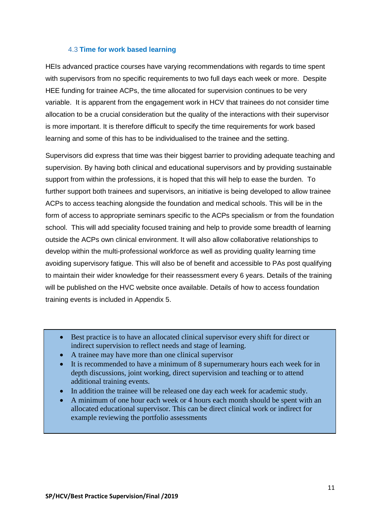#### 4.3 **Time for work based learning**

HEIs advanced practice courses have varying recommendations with regards to time spent with supervisors from no specific requirements to two full days each week or more. Despite HEE funding for trainee ACPs, the time allocated for supervision continues to be very variable. It is apparent from the engagement work in HCV that trainees do not consider time allocation to be a crucial consideration but the quality of the interactions with their supervisor is more important. It is therefore difficult to specify the time requirements for work based learning and some of this has to be individualised to the trainee and the setting.

Supervisors did express that time was their biggest barrier to providing adequate teaching and supervision. By having both clinical and educational supervisors and by providing sustainable support from within the professions, it is hoped that this will help to ease the burden. To further support both trainees and supervisors, an initiative is being developed to allow trainee ACPs to access teaching alongside the foundation and medical schools. This will be in the form of access to appropriate seminars specific to the ACPs specialism or from the foundation school. This will add speciality focused training and help to provide some breadth of learning outside the ACPs own clinical environment. It will also allow collaborative relationships to develop within the multi-professional workforce as well as providing quality learning time avoiding supervisory fatigue. This will also be of benefit and accessible to PAs post qualifying to maintain their wider knowledge for their reassessment every 6 years. Details of the training will be published on the HVC website once available. Details of how to access foundation training events is included in Appendix 5.

- Best practice is to have an allocated clinical supervisor every shift for direct or indirect supervision to reflect needs and stage of learning.
- A trainee may have more than one clinical supervisor
- It is recommended to have a minimum of 8 supernumerary hours each week for in depth discussions, joint working, direct supervision and teaching or to attend additional training events.
- In addition the trainee will be released one day each week for academic study.
- A minimum of one hour each week or 4 hours each month should be spent with an allocated educational supervisor. This can be direct clinical work or indirect for example reviewing the portfolio assessments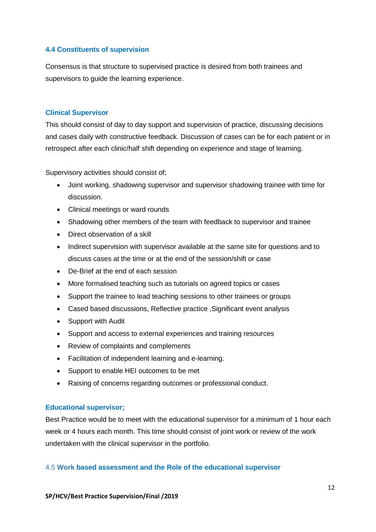#### **4.4 Constituents of supervision**

Consensus is that structure to supervised practice is desired from both trainees and supervisors to guide the learning experience.

#### **Clinical Supervisor**

This should consist of day to day support and supervision of practice, discussing decisions and cases daily with constructive feedback. Discussion of cases can be for each patient or in retrospect after each clinic/half shift depending on experience and stage of learning.

Supervisory activities should consist of;

- Joint working, shadowing supervisor and supervisor shadowing trainee with time for discussion.
- Clinical meetings or ward rounds
- Shadowing other members of the team with feedback to supervisor and trainee
- Direct observation of a skill
- Indirect supervision with supervisor available at the same site for questions and to discuss cases at the time or at the end of the session/shift or case
- De-Brief at the end of each session
- More formalised teaching such as tutorials on agreed topics or cases
- Support the trainee to lead teaching sessions to other trainees or groups
- Cased based discussions, Reflective practice ,Significant event analysis
- Support with Audit
- Support and access to external experiences and training resources
- Review of complaints and complements
- Facilitation of independent learning and e-learning.
- Support to enable HEI outcomes to be met
- Raising of concerns regarding outcomes or professional conduct.

#### **Educational supervisor;**

Best Practice would be to meet with the educational supervisor for a minimum of 1 hour each week or 4 hours each month. This time should consist of joint work or review of the work undertaken with the clinical supervisor in the portfolio.

#### 4.5 **Work based assessment and the Role of the educational supervisor**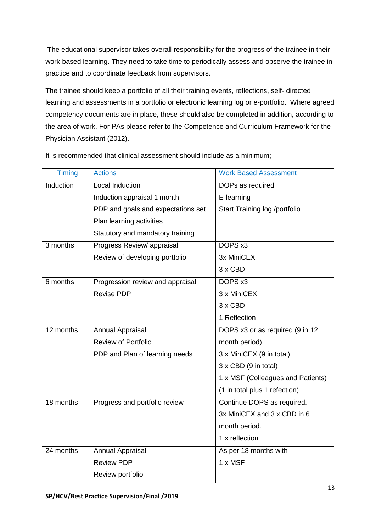The educational supervisor takes overall responsibility for the progress of the trainee in their work based learning. They need to take time to periodically assess and observe the trainee in practice and to coordinate feedback from supervisors.

The trainee should keep a portfolio of all their training events, reflections, self- directed learning and assessments in a portfolio or electronic learning log or e-portfolio. Where agreed competency documents are in place, these should also be completed in addition, according to the area of work. For PAs please refer to the Competence and Curriculum Framework for the Physician Assistant (2012).

| <b>Timing</b> | <b>Actions</b>                     | <b>Work Based Assessment</b>      |
|---------------|------------------------------------|-----------------------------------|
| Induction     | Local Induction                    | DOPs as required                  |
|               | Induction appraisal 1 month        | E-learning                        |
|               | PDP and goals and expectations set | Start Training log /portfolio     |
|               | Plan learning activities           |                                   |
|               | Statutory and mandatory training   |                                   |
| 3 months      | Progress Review/ appraisal         | DOPS x3                           |
|               | Review of developing portfolio     | 3x MiniCEX                        |
|               |                                    | 3 x CBD                           |
| 6 months      | Progression review and appraisal   | DOPS x3                           |
|               | <b>Revise PDP</b>                  | 3 x MiniCEX                       |
|               |                                    | $3 \times$ CBD                    |
|               |                                    | 1 Reflection                      |
| 12 months     | <b>Annual Appraisal</b>            | DOPS x3 or as required (9 in 12   |
|               | <b>Review of Portfolio</b>         | month period)                     |
|               | PDP and Plan of learning needs     | 3 x MiniCEX (9 in total)          |
|               |                                    | 3 x CBD (9 in total)              |
|               |                                    | 1 x MSF (Colleagues and Patients) |
|               |                                    | (1 in total plus 1 refection)     |
| 18 months     | Progress and portfolio review      | Continue DOPS as required.        |
|               |                                    | 3x MiniCEX and 3 x CBD in 6       |
|               |                                    | month period.                     |
|               |                                    | 1 x reflection                    |
| 24 months     | Annual Appraisal                   | As per 18 months with             |
|               | <b>Review PDP</b>                  | $1 \times$ MSF                    |
|               | Review portfolio                   |                                   |

It is recommended that clinical assessment should include as a minimum;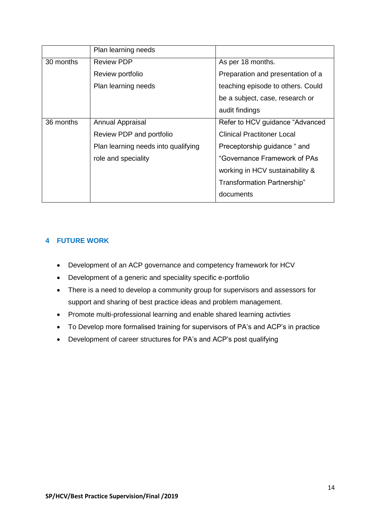|           | Plan learning needs                 |                                   |
|-----------|-------------------------------------|-----------------------------------|
| 30 months | <b>Review PDP</b>                   | As per 18 months.                 |
|           | Review portfolio                    | Preparation and presentation of a |
|           | Plan learning needs                 | teaching episode to others. Could |
|           |                                     | be a subject, case, research or   |
|           |                                     | audit findings                    |
| 36 months | <b>Annual Appraisal</b>             | Refer to HCV guidance "Advanced"  |
|           | Review PDP and portfolio            | <b>Clinical Practitoner Local</b> |
|           | Plan learning needs into qualifying | Preceptorship guidance " and      |
|           | role and speciality                 | "Governance Framework of PAs      |
|           |                                     | working in HCV sustainability &   |
|           |                                     | Transformation Partnership"       |
|           |                                     | documents                         |

# **4 FUTURE WORK**

- Development of an ACP governance and competency framework for HCV
- Development of a generic and speciality specific e-portfolio
- There is a need to develop a community group for supervisors and assessors for support and sharing of best practice ideas and problem management.
- Promote multi-professional learning and enable shared learning activties
- To Develop more formalised training for supervisors of PA's and ACP's in practice
- Development of career structures for PA's and ACP's post qualifying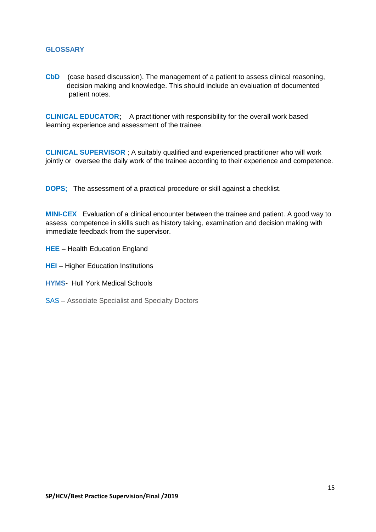#### **GLOSSARY**

**CbD** (case based discussion). The management of a patient to assess clinical reasoning, decision making and knowledge. This should include an evaluation of documented patient notes.

**CLINICAL EDUCATOR;** A practitioner with responsibility for the overall work based learning experience and assessment of the trainee.

**CLINICAL SUPERVISOR** ; A suitably qualified and experienced practitioner who will work jointly or oversee the daily work of the trainee according to their experience and competence.

**DOPS;** The assessment of a practical procedure or skill against a checklist.

**MINI-CEX** Evaluation of a clinical encounter between the trainee and patient. A good way to assess competence in skills such as history taking, examination and decision making with immediate feedback from the supervisor.

- **HEE** Health Education England
- **HEI** Higher Education Institutions
- **HYMS** Hull York Medical Schools
- SAS Associate Specialist and Specialty Doctors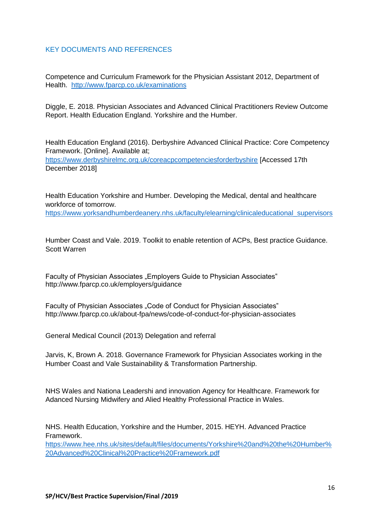#### KEY DOCUMENTS AND REFERENCES

Competence and Curriculum Framework for the Physician Assistant 2012, Department of Health. <http://www.fparcp.co.uk/examinations>

Diggle, E. 2018. Physician Associates and Advanced Clinical Practitioners Review Outcome Report. Health Education England. Yorkshire and the Humber.

Health Education England (2016). Derbyshire Advanced Clinical Practice: Core Competency Framework. [Online]. Available at;

<https://www.derbyshirelmc.org.uk/coreacpcompetenciesforderbyshire> [Accessed 17th December 2018]

Health Education Yorkshire and Humber. Developing the Medical, dental and healthcare workforce of tomorrow.

[https://www.yorksandhumberdeanery.nhs.uk/faculty/elearning/clinicaleducational\\_supervisors](https://www.yorksandhumberdeanery.nhs.uk/faculty/elearning/clinicaleducational_supervisors)

Humber Coast and Vale. 2019. Toolkit to enable retention of ACPs, Best practice Guidance. Scott Warren

Faculty of Physician Associates "Employers Guide to Physician Associates" http://www.fparcp.co.uk/employers/guidance

Faculty of Physician Associates "Code of Conduct for Physician Associates" http://www.fparcp.co.uk/about-fpa/news/code-of-conduct-for-physician-associates

General Medical Council (2013) Delegation and referral

Jarvis, K, Brown A. 2018. Governance Framework for Physician Associates working in the Humber Coast and Vale Sustainability & Transformation Partnership.

NHS Wales and Nationa Leadershi and innovation Agency for Healthcare. Framework for Adanced Nursing Midwifery and Alied Healthy Professional Practice in Wales.

NHS. Health Education, Yorkshire and the Humber, 2015. HEYH. Advanced Practice Framework. [https://www.hee.nhs.uk/sites/default/files/documents/Yorkshire%20and%20the%20Humber%](https://www.hee.nhs.uk/sites/default/files/documents/Yorkshire%20and%20the%20Humber%20Advanced%20Clinical%20Practice%20Framework.pdf)

[20Advanced%20Clinical%20Practice%20Framework.pdf](https://www.hee.nhs.uk/sites/default/files/documents/Yorkshire%20and%20the%20Humber%20Advanced%20Clinical%20Practice%20Framework.pdf)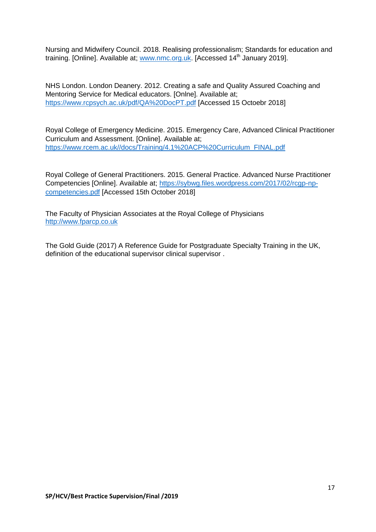Nursing and Midwifery Council. 2018. Realising professionalism; Standards for education and training. [Online]. Available at; [www.nmc.org.uk.](http://www.nmc.org.uk/) [Accessed 14<sup>th</sup> January 2019].

NHS London. London Deanery. 2012. Creating a safe and Quality Assured Coaching and Mentoring Service for Medical educators. [Onlne]. Available at; <https://www.rcpsych.ac.uk/pdf/QA%20DocPT.pdf> [Accessed 15 Octoebr 2018]

Royal College of Emergency Medicine. 2015. Emergency Care, Advanced Clinical Practitioner Curriculum and Assessment. [Online]. Available at; [https://www.rcem.ac.uk//docs/Training/4.1%20ACP%20Curriculum\\_FINAL.pdf](https://www.rcem.ac.uk/docs/Training/4.1%20ACP%20Curriculum_FINAL.pdf)

Royal College of General Practitioners. 2015. General Practice. Advanced Nurse Practitioner Competencies [Online]. Available at; [https://sybwg.files.wordpress.com/2017/02/rcgp-np](https://sybwg.files.wordpress.com/2017/02/rcgp-np-competencies.pdf)[competencies.pdf](https://sybwg.files.wordpress.com/2017/02/rcgp-np-competencies.pdf) [Accessed 15th October 2018]

The Faculty of Physician Associates at the Royal College of Physicians [http://www.fparcp.co.uk](http://www.fparcp.co.uk/)

The Gold Guide (2017) A Reference Guide for Postgraduate Specialty Training in the UK, definition of the educational supervisor clinical supervisor .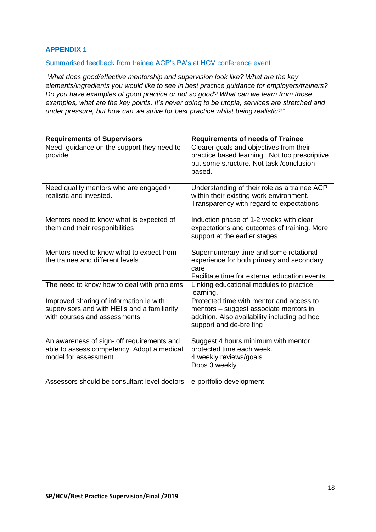# **APPENDIX 1**

#### Summarised feedback from trainee ACP's PA's at HCV conference event

"*What does good/effective mentorship and supervision look like? What are the key elements/ingredients you would like to see in best practice guidance for employers/trainers? Do you have examples of good practice or not so good? What can we learn from those examples, what are the key points. It's never going to be utopia, services are stretched and under pressure, but how can we strive for best practice whilst being realistic?"*

| <b>Requirements of Supervisors</b>                                                                                      | <b>Requirements of needs of Trainee</b>                                                                                                                       |
|-------------------------------------------------------------------------------------------------------------------------|---------------------------------------------------------------------------------------------------------------------------------------------------------------|
| Need guidance on the support they need to<br>provide                                                                    | Clearer goals and objectives from their<br>practice based learning. Not too prescriptive<br>but some structure. Not task / conclusion<br>based.               |
| Need quality mentors who are engaged /<br>realistic and invested.                                                       | Understanding of their role as a trainee ACP<br>within their existing work environment.<br>Transparency with regard to expectations                           |
| Mentors need to know what is expected of<br>them and their responibilities                                              | Induction phase of 1-2 weeks with clear<br>expectations and outcomes of training. More<br>support at the earlier stages                                       |
| Mentors need to know what to expect from<br>the trainee and different levels                                            | Supernumerary time and some rotational<br>experience for both primary and secondary<br>care<br>Facilitate time for external education events                  |
| The need to know how to deal with problems                                                                              | Linking educational modules to practice<br>learning.                                                                                                          |
| Improved sharing of information ie with<br>supervisors and with HEI's and a familiarity<br>with courses and assessments | Protected time with mentor and access to<br>mentors - suggest associate mentors in<br>addition. Also availability including ad hoc<br>support and de-breifing |
| An awareness of sign- off requirements and<br>able to assess competency. Adopt a medical<br>model for assessment        | Suggest 4 hours minimum with mentor<br>protected time each week.<br>4 weekly reviews/goals<br>Dops 3 weekly                                                   |
| Assessors should be consultant level doctors                                                                            | e-portfolio development                                                                                                                                       |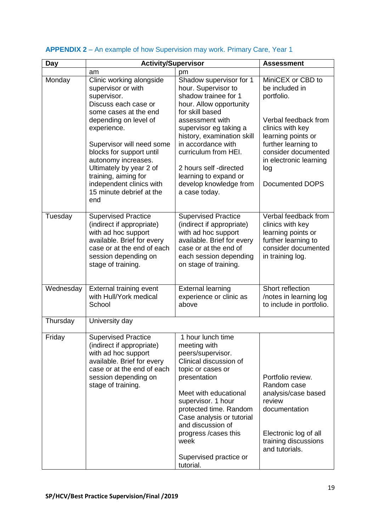| Day       | <b>Activity/Supervisor</b>                                                                                                                                                                       |                                                                                                                                                                                                                                                                                                                         | <b>Assessment</b>                                                                                                                                     |
|-----------|--------------------------------------------------------------------------------------------------------------------------------------------------------------------------------------------------|-------------------------------------------------------------------------------------------------------------------------------------------------------------------------------------------------------------------------------------------------------------------------------------------------------------------------|-------------------------------------------------------------------------------------------------------------------------------------------------------|
|           | am                                                                                                                                                                                               | pm                                                                                                                                                                                                                                                                                                                      |                                                                                                                                                       |
| Monday    | Clinic working alongside<br>supervisor or with<br>supervisor.<br>Discuss each case or                                                                                                            | Shadow supervisor for 1<br>hour. Supervisor to<br>shadow trainee for 1<br>hour. Allow opportunity                                                                                                                                                                                                                       | MiniCEX or CBD to<br>be included in<br>portfolio.                                                                                                     |
|           | some cases at the end<br>depending on level of<br>experience.<br>Supervisor will need some<br>blocks for support until<br>autonomy increases.<br>Ultimately by year 2 of<br>training, aiming for | for skill based<br>assessment with<br>supervisor eg taking a<br>history, examination skill<br>in accordance with<br>curriculum from HEI.<br>2 hours self -directed<br>learning to expand or                                                                                                                             | Verbal feedback from<br>clinics with key<br>learning points or<br>further learning to<br>consider documented<br>in electronic learning<br>log         |
|           | independent clinics with<br>15 minute debrief at the<br>end                                                                                                                                      | develop knowledge from<br>a case today.                                                                                                                                                                                                                                                                                 | Documented DOPS                                                                                                                                       |
| Tuesday   | <b>Supervised Practice</b><br>(indirect if appropriate)<br>with ad hoc support<br>available. Brief for every<br>case or at the end of each<br>session depending on<br>stage of training.         | <b>Supervised Practice</b><br>(indirect if appropriate)<br>with ad hoc support<br>available. Brief for every<br>case or at the end of<br>each session depending<br>on stage of training.                                                                                                                                | Verbal feedback from<br>clinics with key<br>learning points or<br>further learning to<br>consider documented<br>in training log.                      |
| Wednesday | External training event<br>with Hull/York medical<br>School                                                                                                                                      | <b>External learning</b><br>experience or clinic as<br>above                                                                                                                                                                                                                                                            | Short reflection<br>/notes in learning log<br>to include in portfolio.                                                                                |
| Thursday  | University day                                                                                                                                                                                   |                                                                                                                                                                                                                                                                                                                         |                                                                                                                                                       |
| Friday    | <b>Supervised Practice</b><br>(indirect if appropriate)<br>with ad hoc support<br>available. Brief for every<br>case or at the end of each<br>session depending on<br>stage of training.         | 1 hour lunch time<br>meeting with<br>peers/supervisor.<br>Clinical discussion of<br>topic or cases or<br>presentation<br>Meet with educational<br>supervisor. 1 hour<br>protected time. Random<br>Case analysis or tutorial<br>and discussion of<br>progress /cases this<br>week<br>Supervised practice or<br>tutorial. | Portfolio review.<br>Random case<br>analysis/case based<br>review<br>documentation<br>Electronic log of all<br>training discussions<br>and tutorials. |

# **APPENDIX 2** – An example of how Supervision may work. Primary Care, Year 1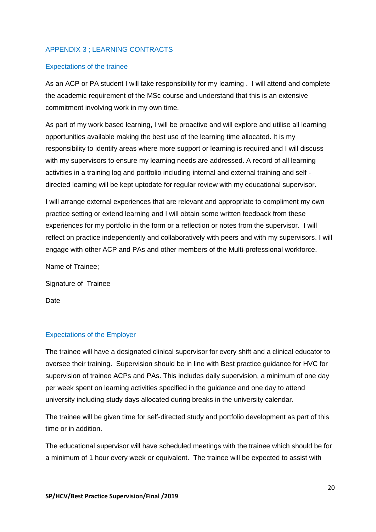# APPENDIX 3 ; LEARNING CONTRACTS

#### Expectations of the trainee

As an ACP or PA student I will take responsibility for my learning . I will attend and complete the academic requirement of the MSc course and understand that this is an extensive commitment involving work in my own time.

As part of my work based learning, I will be proactive and will explore and utilise all learning opportunities available making the best use of the learning time allocated. It is my responsibility to identify areas where more support or learning is required and I will discuss with my supervisors to ensure my learning needs are addressed. A record of all learning activities in a training log and portfolio including internal and external training and self directed learning will be kept uptodate for regular review with my educational supervisor.

I will arrange external experiences that are relevant and appropriate to compliment my own practice setting or extend learning and I will obtain some written feedback from these experiences for my portfolio in the form or a reflection or notes from the supervisor. I will reflect on practice independently and collaboratively with peers and with my supervisors. I will engage with other ACP and PAs and other members of the Multi-professional workforce.

Name of Trainee;

Signature of Trainee

Date

#### Expectations of the Employer

The trainee will have a designated clinical supervisor for every shift and a clinical educator to oversee their training. Supervision should be in line with Best practice guidance for HVC for supervision of trainee ACPs and PAs. This includes daily supervision, a minimum of one day per week spent on learning activities specified in the guidance and one day to attend university including study days allocated during breaks in the university calendar.

The trainee will be given time for self-directed study and portfolio development as part of this time or in addition.

The educational supervisor will have scheduled meetings with the trainee which should be for a minimum of 1 hour every week or equivalent. The trainee will be expected to assist with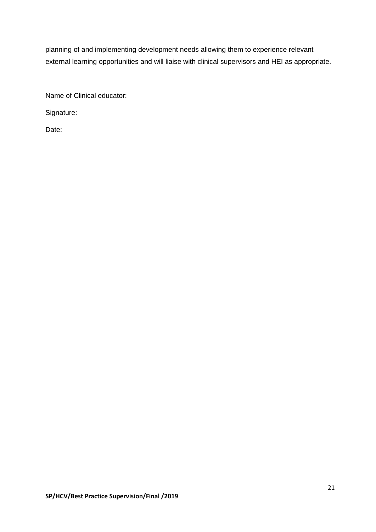planning of and implementing development needs allowing them to experience relevant external learning opportunities and will liaise with clinical supervisors and HEI as appropriate.

Name of Clinical educator:

Signature:

Date: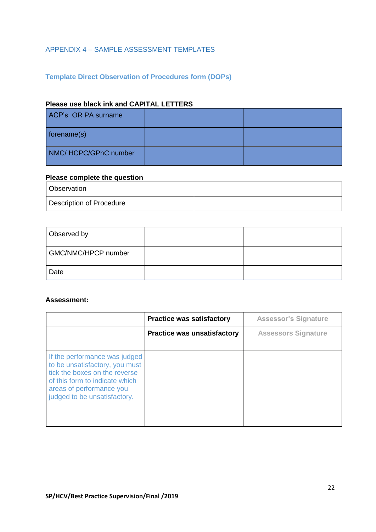# APPENDIX 4 – SAMPLE ASSESSMENT TEMPLATES

# **Template Direct Observation of Procedures form (DOPs)**

## **Please use black ink and CAPITAL LETTERS**

| ACP's OR PA surname  |  |
|----------------------|--|
| forename(s)          |  |
| NMC/HCPC/GPhC number |  |

# **Please complete the question**

| <b>Observation</b>       |  |
|--------------------------|--|
| Description of Procedure |  |

| Observed by         |  |
|---------------------|--|
| GMC/NMC/HPCP number |  |
| Date                |  |

#### **Assessment:**

|                                                                                                                                                                                                | <b>Practice was satisfactory</b>   | <b>Assessor's Signature</b> |
|------------------------------------------------------------------------------------------------------------------------------------------------------------------------------------------------|------------------------------------|-----------------------------|
|                                                                                                                                                                                                | <b>Practice was unsatisfactory</b> | <b>Assessors Signature</b>  |
| If the performance was judged<br>to be unsatisfactory, you must<br>tick the boxes on the reverse<br>of this form to indicate which<br>areas of performance you<br>judged to be unsatisfactory. |                                    |                             |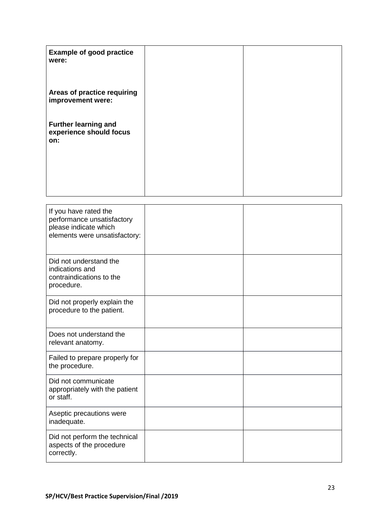| <b>Example of good practice</b><br>were:                      |  |
|---------------------------------------------------------------|--|
| Areas of practice requiring<br>improvement were:              |  |
| <b>Further learning and</b><br>experience should focus<br>on: |  |
|                                                               |  |

| If you have rated the<br>performance unsatisfactory<br>please indicate which<br>elements were unsatisfactory: |  |
|---------------------------------------------------------------------------------------------------------------|--|
| Did not understand the<br>indications and<br>contraindications to the<br>procedure.                           |  |
| Did not properly explain the<br>procedure to the patient.                                                     |  |
| Does not understand the<br>relevant anatomy.                                                                  |  |
| Failed to prepare properly for<br>the procedure.                                                              |  |
| Did not communicate<br>appropriately with the patient<br>or staff.                                            |  |
| Aseptic precautions were<br>inadequate.                                                                       |  |
| Did not perform the technical<br>aspects of the procedure<br>correctly.                                       |  |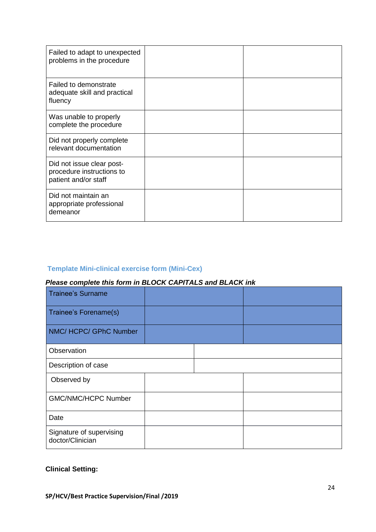| Failed to adapt to unexpected<br>problems in the procedure                     |  |
|--------------------------------------------------------------------------------|--|
| Failed to demonstrate<br>adequate skill and practical<br>fluency               |  |
| Was unable to properly<br>complete the procedure                               |  |
| Did not properly complete<br>relevant documentation                            |  |
| Did not issue clear post-<br>procedure instructions to<br>patient and/or staff |  |
| Did not maintain an<br>appropriate professional<br>demeanor                    |  |

# **Template Mini-clinical exercise form (Mini-Cex)**

# *Please complete this form in BLOCK CAPITALS and BLACK ink*

| <b>Trainee's Surname</b>                     |  |  |
|----------------------------------------------|--|--|
| Trainee's Forename(s)                        |  |  |
| NMC/ HCPC/ GPhC Number                       |  |  |
| Observation                                  |  |  |
| Description of case                          |  |  |
| Observed by                                  |  |  |
| <b>GMC/NMC/HCPC Number</b>                   |  |  |
| Date                                         |  |  |
| Signature of supervising<br>doctor/Clinician |  |  |

# **Clinical Setting:**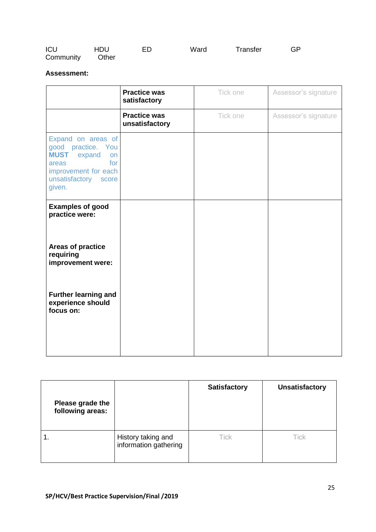| ICU       | HDU   | FD. | Ward | Transfer | GP |  |
|-----------|-------|-----|------|----------|----|--|
| Community | Other |     |      |          |    |  |

# **Assessment:**

|                                                                                                                                                      | <b>Practice was</b><br>satisfactory   | Tick one | Assessor's signature |
|------------------------------------------------------------------------------------------------------------------------------------------------------|---------------------------------------|----------|----------------------|
|                                                                                                                                                      | <b>Practice was</b><br>unsatisfactory | Tick one | Assessor's signature |
| Expand on areas of<br>good practice. You<br><b>MUST</b><br>expand<br>on<br>for<br>areas<br>improvement for each<br>unsatisfactory<br>score<br>given. |                                       |          |                      |
| <b>Examples of good</b><br>practice were:                                                                                                            |                                       |          |                      |
| Areas of practice<br>requiring<br>improvement were:                                                                                                  |                                       |          |                      |
| <b>Further learning and</b><br>experience should<br>focus on:                                                                                        |                                       |          |                      |
|                                                                                                                                                      |                                       |          |                      |

| Please grade the<br>following areas: |                                             | <b>Satisfactory</b> | <b>Unsatisfactory</b> |
|--------------------------------------|---------------------------------------------|---------------------|-----------------------|
|                                      | History taking and<br>information gathering | <b>Tick</b>         | Tick                  |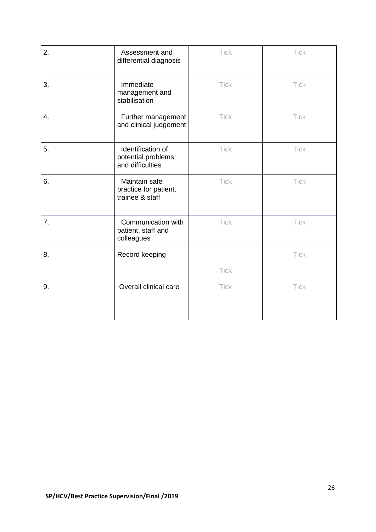| 2. | Assessment and<br>differential diagnosis                    | <b>Tick</b> | <b>Tick</b> |
|----|-------------------------------------------------------------|-------------|-------------|
| 3. | Immediate<br>management and<br>stabilisation                | <b>Tick</b> | <b>Tick</b> |
| 4. | Further management<br>and clinical judgement                | <b>Tick</b> | <b>Tick</b> |
| 5. | Identification of<br>potential problems<br>and difficulties | Tick        | <b>Tick</b> |
| 6. | Maintain safe<br>practice for patient,<br>trainee & staff   | <b>Tick</b> | Tick        |
| 7. | Communication with<br>patient, staff and<br>colleagues      | <b>Tick</b> | <b>Tick</b> |
| 8. | Record keeping                                              |             | <b>Tick</b> |
|    |                                                             | <b>Tick</b> |             |
| 9. | Overall clinical care                                       | <b>Tick</b> | <b>Tick</b> |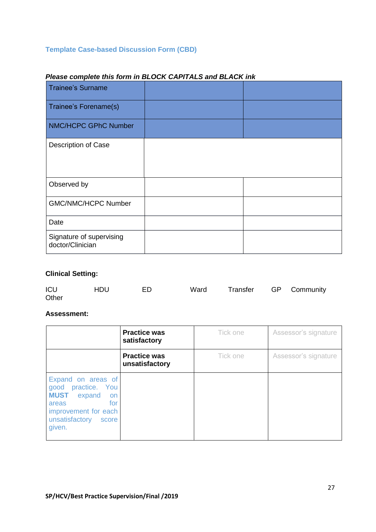# **Template Case-based Discussion Form (CBD)**

| <b>Trainee's Surname</b>                     |  |
|----------------------------------------------|--|
| Trainee's Forename(s)                        |  |
| NMC/HCPC GPhC Number                         |  |
| Description of Case                          |  |
| Observed by                                  |  |
| <b>GMC/NMC/HCPC Number</b>                   |  |
| Date                                         |  |
| Signature of supervising<br>doctor/Clinician |  |

# *Please complete this form in BLOCK CAPITALS and BLACK ink*

# **Clinical Setting:**

| ICU   | <b>HDU</b> | FD. | Ward | Transfer GP Community |  |
|-------|------------|-----|------|-----------------------|--|
| Other |            |     |      |                       |  |

## **Assessment:**

|                                                                                                                                                   | <b>Practice was</b><br>satisfactory   | Tick one | Assessor's signature |
|---------------------------------------------------------------------------------------------------------------------------------------------------|---------------------------------------|----------|----------------------|
|                                                                                                                                                   | <b>Practice was</b><br>unsatisfactory | Tick one | Assessor's signature |
| Expand on areas of<br>good practice. You<br><b>MUST</b> expand<br>on<br>for<br>areas<br>improvement for each<br>unsatisfactory<br>score<br>given. |                                       |          |                      |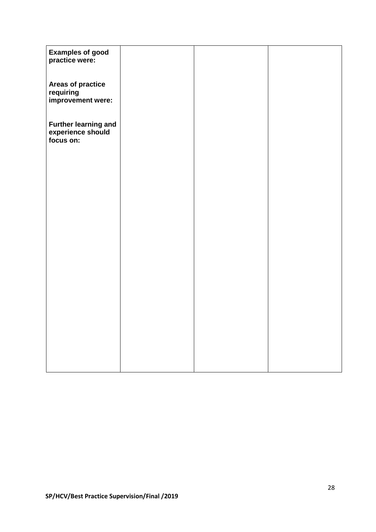| <b>Examples of good</b><br>practice were:                     |  |  |
|---------------------------------------------------------------|--|--|
| Areas of practice<br>requiring<br>improvement were:           |  |  |
| <b>Further learning and</b><br>experience should<br>focus on: |  |  |
|                                                               |  |  |
|                                                               |  |  |
|                                                               |  |  |
|                                                               |  |  |
|                                                               |  |  |
|                                                               |  |  |
|                                                               |  |  |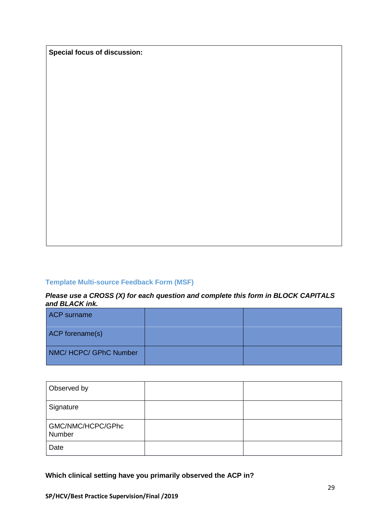**Special focus of discussion:**

# **Template Multi-source Feedback Form (MSF)**

#### *Please use a CROSS (X) for each question and complete this form in BLOCK CAPITALS and BLACK ink.*

| <b>ACP</b> surname   |  |
|----------------------|--|
| ACP forename(s)      |  |
| NMC/HCPC/GPhC Number |  |

| Observed by                 |  |
|-----------------------------|--|
| Signature                   |  |
| GMC/NMC/HCPC/GPhc<br>Number |  |
| Date                        |  |

**Which clinical setting have you primarily observed the ACP in?**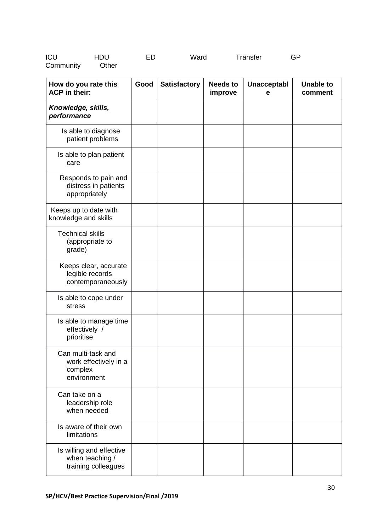| ICU       | <b>HDU</b> | FD | Ward | Transfer | GP |
|-----------|------------|----|------|----------|----|
| Community | Other      |    |      |          |    |

| How do you rate this<br><b>ACP</b> in their:                          | Good | <b>Satisfactory</b> | <b>Needs to</b><br>improve | <b>Unacceptabl</b><br>е | <b>Unable to</b><br>comment |
|-----------------------------------------------------------------------|------|---------------------|----------------------------|-------------------------|-----------------------------|
| Knowledge, skills,<br>performance                                     |      |                     |                            |                         |                             |
| Is able to diagnose<br>patient problems                               |      |                     |                            |                         |                             |
| Is able to plan patient<br>care                                       |      |                     |                            |                         |                             |
| Responds to pain and<br>distress in patients<br>appropriately         |      |                     |                            |                         |                             |
| Keeps up to date with<br>knowledge and skills                         |      |                     |                            |                         |                             |
| <b>Technical skills</b><br>(appropriate to<br>grade)                  |      |                     |                            |                         |                             |
| Keeps clear, accurate<br>legible records<br>contemporaneously         |      |                     |                            |                         |                             |
| Is able to cope under<br>stress                                       |      |                     |                            |                         |                             |
| Is able to manage time<br>effectively /<br>prioritise                 |      |                     |                            |                         |                             |
| Can multi-task and<br>work effectively in a<br>complex<br>environment |      |                     |                            |                         |                             |
| Can take on a<br>leadership role<br>when needed                       |      |                     |                            |                         |                             |
| Is aware of their own<br>limitations                                  |      |                     |                            |                         |                             |
| Is willing and effective<br>when teaching /<br>training colleagues    |      |                     |                            |                         |                             |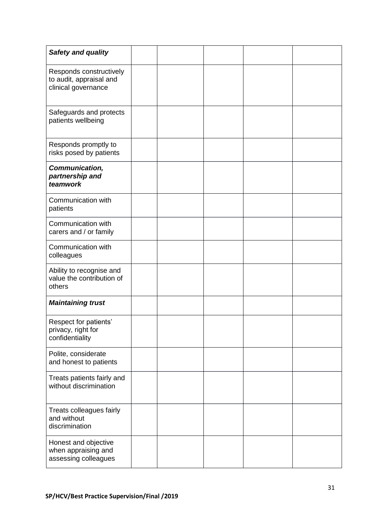| <b>Safety and quality</b>                                                 |  |  |  |
|---------------------------------------------------------------------------|--|--|--|
| Responds constructively<br>to audit, appraisal and<br>clinical governance |  |  |  |
| Safeguards and protects<br>patients wellbeing                             |  |  |  |
| Responds promptly to<br>risks posed by patients                           |  |  |  |
| Communication,<br>partnership and<br>teamwork                             |  |  |  |
| Communication with<br>patients                                            |  |  |  |
| Communication with<br>carers and / or family                              |  |  |  |
| Communication with<br>colleagues                                          |  |  |  |
| Ability to recognise and<br>value the contribution of<br>others           |  |  |  |
| <b>Maintaining trust</b>                                                  |  |  |  |
| Respect for patients'<br>privacy, right for<br>confidentiality            |  |  |  |
| Polite, considerate<br>and honest to patients                             |  |  |  |
| Treats patients fairly and<br>without discrimination                      |  |  |  |
| Treats colleagues fairly<br>and without<br>discrimination                 |  |  |  |
| Honest and objective<br>when appraising and<br>assessing colleagues       |  |  |  |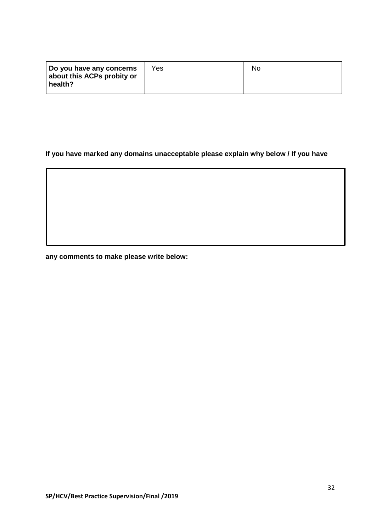| Do you have any concerns              | Yes | No. |
|---------------------------------------|-----|-----|
| about this ACPs probity or<br>health? |     |     |
|                                       |     |     |

# **If you have marked any domains unacceptable please explain why below / If you have**

**any comments to make please write below:**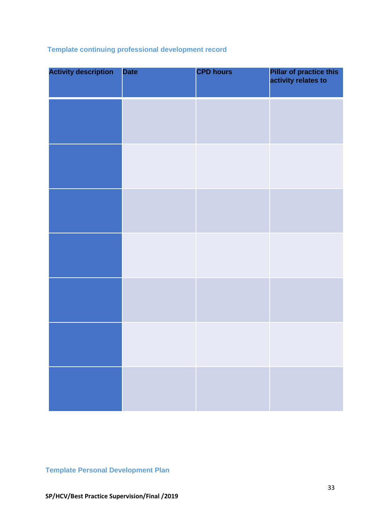# **Template continuing professional development record**

| <b>Activity description</b> | <b>Date</b> | <b>CPD hours</b> | <b>Pillar of practice this<br/>activity relates to</b> |
|-----------------------------|-------------|------------------|--------------------------------------------------------|
|                             |             |                  |                                                        |
|                             |             |                  |                                                        |
|                             |             |                  |                                                        |
|                             |             |                  |                                                        |
|                             |             |                  |                                                        |
|                             |             |                  |                                                        |
|                             |             |                  |                                                        |

# **Template Personal Development Plan**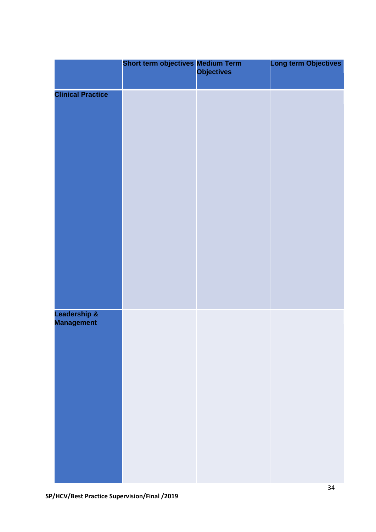|                                   | Short term objectives Medium Term<br>Objectives | <b>Long term Objectives</b> |
|-----------------------------------|-------------------------------------------------|-----------------------------|
| <b>Clinical Practice</b>          |                                                 |                             |
| Leadership &<br><b>Management</b> |                                                 |                             |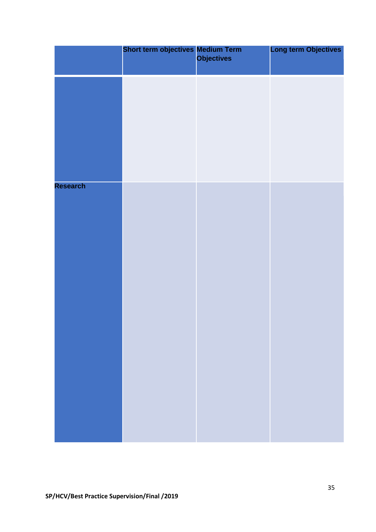|          | <b>Short term objectives Medium Term<br/>Objectives</b> | <b>Long term Objectives</b> |
|----------|---------------------------------------------------------|-----------------------------|
|          |                                                         |                             |
|          |                                                         |                             |
|          |                                                         |                             |
| Research |                                                         |                             |
|          |                                                         |                             |
|          |                                                         |                             |
|          |                                                         |                             |
|          |                                                         |                             |
|          |                                                         |                             |
|          |                                                         |                             |
|          |                                                         |                             |
|          |                                                         |                             |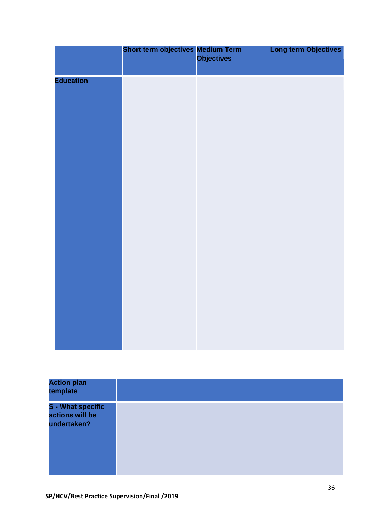|                  | <b>Short term objectives Medium Term<br/>Objectives</b> | Long term Objectives |
|------------------|---------------------------------------------------------|----------------------|
| <b>Education</b> |                                                         |                      |
|                  |                                                         |                      |
|                  |                                                         |                      |
|                  |                                                         |                      |
|                  |                                                         |                      |
|                  |                                                         |                      |
|                  |                                                         |                      |
|                  |                                                         |                      |
|                  |                                                         |                      |

| <b>Action plan</b><br>template                             |  |
|------------------------------------------------------------|--|
| <b>S</b> - What specific<br>actions will be<br>undertaken? |  |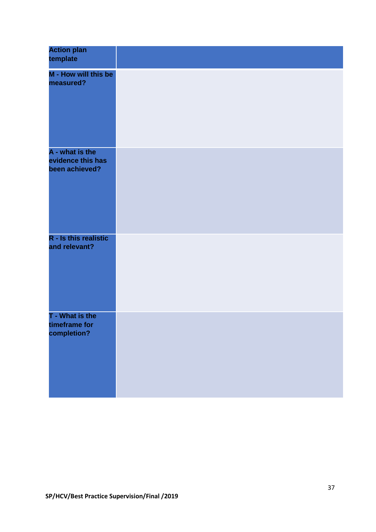| <b>Action plan</b><br>template                         |  |
|--------------------------------------------------------|--|
| M - How will this be<br>measured?                      |  |
| A - what is the<br>evidence this has<br>been achieved? |  |
| R - Is this realistic<br>and relevant?                 |  |
| T - What is the<br>timeframe for<br>completion?        |  |